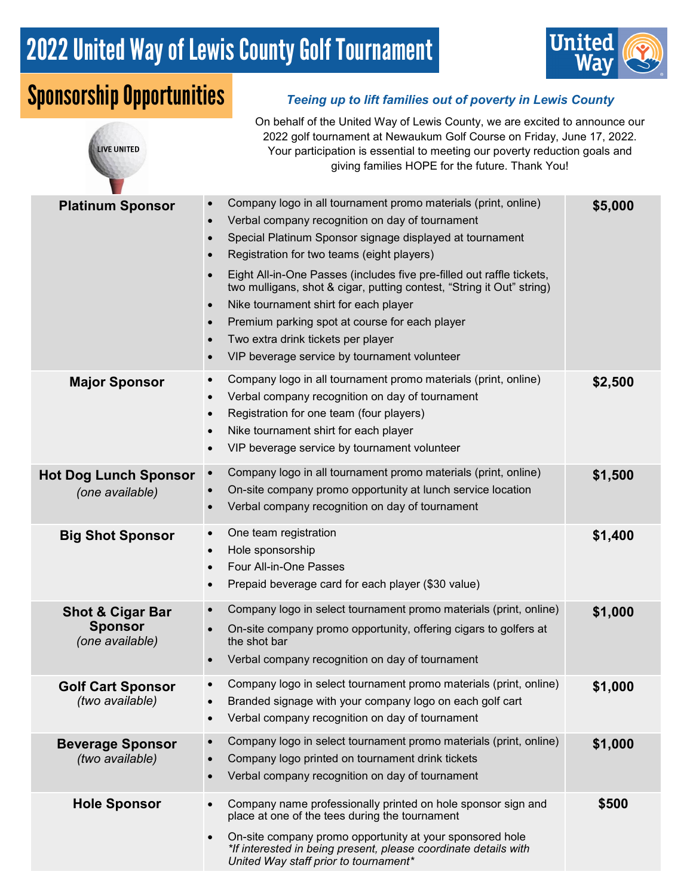# 2022 United Way of Lewis County Golf Tournament



## Sponsorship Opportunities *Teeing up to lift families out of poverty in Lewis County*

LIVE UNITED

On behalf of the United Way of Lewis County, we are excited to announce our 2022 golf tournament at Newaukum Golf Course on Friday, June 17, 2022. Your participation is essential to meeting our poverty reduction goals and giving families HOPE for the future. Thank You!

| <b>Platinum Sponsor</b>                                          | Company logo in all tournament promo materials (print, online)<br>$\bullet$<br>Verbal company recognition on day of tournament<br>$\bullet$<br>Special Platinum Sponsor signage displayed at tournament<br>$\bullet$<br>Registration for two teams (eight players)<br>$\bullet$<br>Eight All-in-One Passes (includes five pre-filled out raffle tickets,<br>$\bullet$<br>two mulligans, shot & cigar, putting contest, "String it Out" string)<br>Nike tournament shirt for each player<br>$\bullet$<br>Premium parking spot at course for each player<br>$\bullet$<br>Two extra drink tickets per player<br>$\bullet$<br>VIP beverage service by tournament volunteer<br>$\bullet$ | \$5,000 |
|------------------------------------------------------------------|-------------------------------------------------------------------------------------------------------------------------------------------------------------------------------------------------------------------------------------------------------------------------------------------------------------------------------------------------------------------------------------------------------------------------------------------------------------------------------------------------------------------------------------------------------------------------------------------------------------------------------------------------------------------------------------|---------|
| <b>Major Sponsor</b>                                             | Company logo in all tournament promo materials (print, online)<br>$\bullet$<br>Verbal company recognition on day of tournament<br>$\bullet$<br>Registration for one team (four players)<br>$\bullet$<br>Nike tournament shirt for each player<br>$\bullet$<br>VIP beverage service by tournament volunteer<br>$\bullet$                                                                                                                                                                                                                                                                                                                                                             | \$2,500 |
| <b>Hot Dog Lunch Sponsor</b><br>(one available)                  | Company logo in all tournament promo materials (print, online)<br>$\bullet$<br>On-site company promo opportunity at lunch service location<br>Verbal company recognition on day of tournament<br>$\bullet$                                                                                                                                                                                                                                                                                                                                                                                                                                                                          | \$1,500 |
| <b>Big Shot Sponsor</b>                                          | One team registration<br>$\bullet$<br>Hole sponsorship<br>$\bullet$<br>Four All-in-One Passes<br>$\bullet$<br>Prepaid beverage card for each player (\$30 value)<br>$\bullet$                                                                                                                                                                                                                                                                                                                                                                                                                                                                                                       | \$1,400 |
| <b>Shot &amp; Cigar Bar</b><br><b>Sponsor</b><br>(one available) | Company logo in select tournament promo materials (print, online)<br>$\bullet$<br>On-site company promo opportunity, offering cigars to golfers at<br>the shot bar<br>Verbal company recognition on day of tournament                                                                                                                                                                                                                                                                                                                                                                                                                                                               | \$1,000 |
| <b>Golf Cart Sponsor</b><br>(two available)                      | Company logo in select tournament promo materials (print, online)<br>Branded signage with your company logo on each golf cart<br>Verbal company recognition on day of tournament<br>$\bullet$                                                                                                                                                                                                                                                                                                                                                                                                                                                                                       | \$1,000 |
| <b>Beverage Sponsor</b><br>(two available)                       | Company logo in select tournament promo materials (print, online)<br>$\bullet$<br>Company logo printed on tournament drink tickets<br>$\bullet$<br>Verbal company recognition on day of tournament                                                                                                                                                                                                                                                                                                                                                                                                                                                                                  | \$1,000 |
| <b>Hole Sponsor</b>                                              | Company name professionally printed on hole sponsor sign and<br>$\bullet$<br>place at one of the tees during the tournament<br>On-site company promo opportunity at your sponsored hole<br>$\bullet$<br>*If interested in being present, please coordinate details with<br>United Way staff prior to tournament*                                                                                                                                                                                                                                                                                                                                                                    | \$500   |